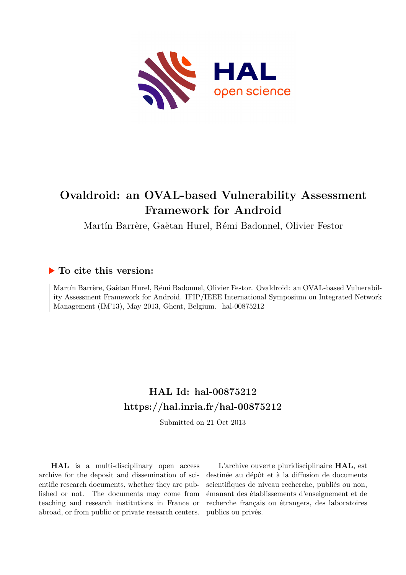

# **Ovaldroid: an OVAL-based Vulnerability Assessment Framework for Android**

Martín Barrère, Gaëtan Hurel, Rémi Badonnel, Olivier Festor

# **To cite this version:**

Martín Barrère, Gaëtan Hurel, Rémi Badonnel, Olivier Festor. Ovaldroid: an OVAL-based Vulnerability Assessment Framework for Android. IFIP/IEEE International Symposium on Integrated Network Management (IM'13), May 2013, Ghent, Belgium. hal-00875212

# **HAL Id: hal-00875212 <https://hal.inria.fr/hal-00875212>**

Submitted on 21 Oct 2013

**HAL** is a multi-disciplinary open access archive for the deposit and dissemination of scientific research documents, whether they are published or not. The documents may come from teaching and research institutions in France or abroad, or from public or private research centers.

L'archive ouverte pluridisciplinaire **HAL**, est destinée au dépôt et à la diffusion de documents scientifiques de niveau recherche, publiés ou non, émanant des établissements d'enseignement et de recherche français ou étrangers, des laboratoires publics ou privés.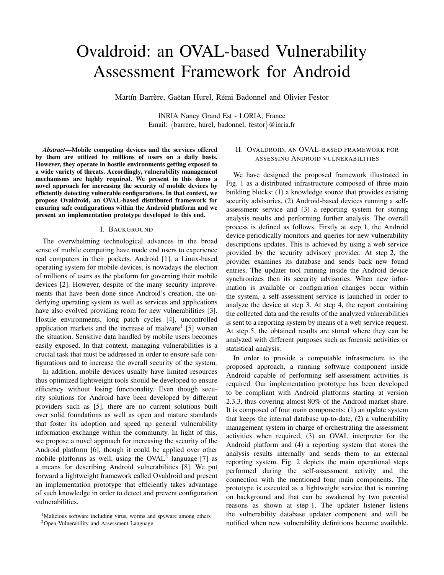# Ovaldroid: an OVAL-based Vulnerability Assessment Framework for Android

Martín Barrère, Gaëtan Hurel, Rémi Badonnel and Olivier Festor

INRIA Nancy Grand Est - LORIA, France Email: {barrere, hurel, badonnel, festor}@inria.fr

*Abstract*—Mobile computing devices and the services offered by them are utilized by millions of users on a daily basis. However, they operate in hostile environments getting exposed to a wide variety of threats. Accordingly, vulnerability management mechanisms are highly required. We present in this demo a novel approach for increasing the security of mobile devices by efficiently detecting vulnerable configurations. In that context, we propose Ovaldroid, an OVAL-based distributed framework for ensuring safe configurations within the Android platform and we present an implementation prototype developed to this end.

### I. BACKGROUND

The overwhelming technological advances in the broad sense of mobile computing have made end users to experience real computers in their pockets. Android [1], a Linux-based operating system for mobile devices, is nowadays the election of millions of users as the platform for governing their mobile devices [2]. However, despite of the many security improvements that have been done since Android's creation, the underlying operating system as well as services and applications have also evolved providing room for new vulnerabilities [3]. Hostile environments, long patch cycles [4], uncontrolled application markets and the increase of malware<sup>1</sup> [5] worsen the situation. Sensitive data handled by mobile users becomes easily exposed. In that context, managing vulnerabilities is a crucial task that must be addressed in order to ensure safe configurations and to increase the overall security of the system.

In addition, mobile devices usually have limited resources thus optimized lightweight tools should be developed to ensure efficiency without losing functionality. Even though security solutions for Android have been developed by different providers such as [5], there are no current solutions built over solid foundations as well as open and mature standards that foster its adoption and speed up general vulnerability information exchange within the community. In light of this, we propose a novel approach for increasing the security of the Android platform [6], though it could be applied over other mobile platforms as well, using the  $OVAL<sup>2</sup>$  language [7] as a means for describing Android vulnerabilities [8]. We put forward a lightweight framework called Ovaldroid and present an implementation prototype that efficiently takes advantage of such knowledge in order to detect and prevent configuration vulnerabilities.

# <sup>2</sup>Open Vulnerability and Assessment Language

## II. OVALDROID, AN OVAL-BASED FRAMEWORK FOR ASSESSING ANDROID VULNERABILITIES

We have designed the proposed framework illustrated in Fig. 1 as a distributed infrastructure composed of three main building blocks: (1) a knowledge source that provides existing security advisories, (2) Android-based devices running a selfassessment service and (3) a reporting system for storing analysis results and performing further analysis. The overall process is defined as follows. Firstly at step 1, the Android device periodically monitors and queries for new vulnerability descriptions updates. This is achieved by using a web service provided by the security advisory provider. At step 2, the provider examines its database and sends back new found entries. The updater tool running inside the Android device synchronizes then its security advisories. When new information is available or configuration changes occur within the system, a self-assessment service is launched in order to analyze the device at step 3. At step 4, the report containing the collected data and the results of the analyzed vulnerabilities is sent to a reporting system by means of a web service request. At step 5, the obtained results are stored where they can be analyzed with different purposes such as forensic activities or statistical analysis.

In order to provide a computable infrastructure to the proposed approach, a running software component inside Android capable of performing self-assessment activities is required. Our implementation prototype has been developed to be compliant with Android platforms starting at version 2.3.3, thus covering almost 80% of the Android market share. It is composed of four main components: (1) an update system that keeps the internal database up-to-date, (2) a vulnerability management system in charge of orchestrating the assessment activities when required, (3) an OVAL interpreter for the Android platform and (4) a reporting system that stores the analysis results internally and sends them to an external reporting system. Fig. 2 depicts the main operational steps performed during the self-assessment activity and the connection with the mentioned four main components. The prototype is executed as a lightweight service that is running on background and that can be awakened by two potential reasons as shown at step 1. The updater listener listens the vulnerability database updater component and will be notified when new vulnerability definitions become available.

<sup>&</sup>lt;sup>1</sup>Malicious software including virus, worms and spyware among others